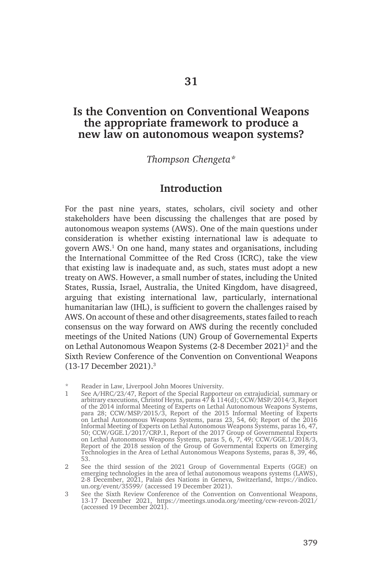# **Is the Convention on Conventional Weapons the appropriate framework to produce a new law on autonomous weapon systems?**

### *Thompson Chengeta\**

### **Introduction**

For the past nine years, states, scholars, civil society and other stakeholders have been discussing the challenges that are posed by autonomous weapon systems (AWS). One of the main questions under consideration is whether existing international law is adequate to govern AWS.1 On one hand, many states and organisations, including the International Committee of the Red Cross (ICRC), take the view that existing law is inadequate and, as such, states must adopt a new treaty on AWS. However, a small number of states, including the United States, Russia, Israel, Australia, the United Kingdom, have disagreed, arguing that existing international law, particularly, international humanitarian law (IHL), is sufficient to govern the challenges raised by AWS. On account of these and other disagreements, states failed to reach consensus on the way forward on AWS during the recently concluded meetings of the United Nations (UN) Group of Governemental Experts on Lethal Autonomous Weapon Systems (2-8 December 2021)<sup>2</sup> and the Sixth Review Conference of the Convention on Conventional Weapons (13-17 December 2021).3

Reader in Law, Liverpool John Moores University.

<sup>1</sup> See A/HRC/23/47, Report of the Special Rapporteur on extrajudicial, summary or arbitrary executions, Christof Heyns, paras 47 & 114(d); CCW/MSP/2014/3, Report of the 2014 informal Meeting of Experts on Lethal Autonomous Weapons Systems, para 28; CCW/MSP/2015/3, Report of the 2015 Informal Meeting of Experts on Lethal Autonomous Weapons Systems, paras 23, 54, 60; Report of the 2016 Informal Meeting of Experts on Lethal Autonomous Weapons Systems, paras 16, 47, 50; CCW/GGE.1/2017/CRP.1, Report of the 2017 Group of Governmental Experts on Lethal Autonomous Weapons Systems, paras 5, 6, 7, 49; CCW/GGE.1/2018/3, Report of the 2018 session of the Group of Governmental Experts on Emerging Technologies in the Area of Lethal Autonomous Weapons Systems, paras 8, 39, 46, 53.

<sup>2</sup> See the third session of the 2021 Group of Governmental Experts (GGE) on emerging technologies in the area of lethal autonomous weapons systems (LAWS), 2-8 December, 2021, Palais des Nations in Geneva, Switzerland, https://indico. un.org/event/35599/ (accessed 19 December 2021).

<sup>3</sup> See the Sixth Review Conference of the Convention on Conventional Weapons, 13-17 December 2021, https://meetings.unoda.org/meeting/ccw-revcon-2021/ (accessed 19 December 2021).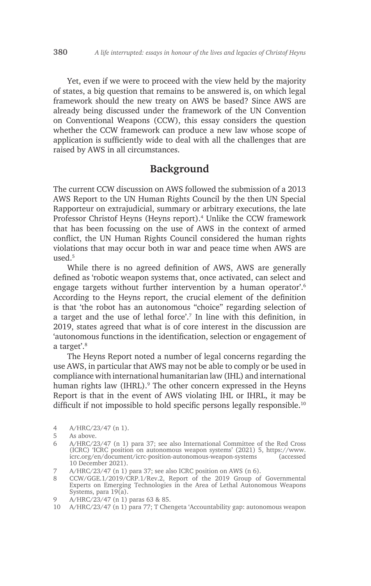Yet, even if we were to proceed with the view held by the majority of states, a big question that remains to be answered is, on which legal framework should the new treaty on AWS be based? Since AWS are already being discussed under the framework of the UN Convention on Conventional Weapons (CCW), this essay considers the question whether the CCW framework can produce a new law whose scope of application is sufficiently wide to deal with all the challenges that are raised by AWS in all circumstances.

## **Background**

The current CCW discussion on AWS followed the submission of a 2013 AWS Report to the UN Human Rights Council by the then UN Special Rapporteur on extrajudicial, summary or arbitrary executions, the late Professor Christof Heyns (Heyns report).<sup>4</sup> Unlike the CCW framework that has been focussing on the use of AWS in the context of armed conflict, the UN Human Rights Council considered the human rights violations that may occur both in war and peace time when AWS are used $<sup>5</sup>$ </sup>

While there is no agreed definition of AWS, AWS are generally defined as 'robotic weapon systems that, once activated, can select and engage targets without further intervention by a human operator'.6 According to the Heyns report, the crucial element of the definition is that 'the robot has an autonomous "choice" regarding selection of a target and the use of lethal force'.7 In line with this definition, in 2019, states agreed that what is of core interest in the discussion are 'autonomous functions in the identification, selection or engagement of a target'.8

The Heyns Report noted a number of legal concerns regarding the use AWS, in particular that AWS may not be able to comply or be used in compliance with international humanitarian law (IHL) and international human rights law (IHRL).<sup>9</sup> The other concern expressed in the Heyns Report is that in the event of AWS violating IHL or IHRL, it may be difficult if not impossible to hold specific persons legally responsible.<sup>10</sup>

- 7 A/HRC/23/47 (n 1) para 37; see also ICRC position on AWS (n 6).
- 8 CCW/GGE.1/2019/CRP.1/Rev.2, Report of the 2019 Group of Governmental Experts on Emerging Technologies in the Area of Lethal Autonomous Weapons Systems, para 19(a).

<sup>4</sup> A/HRC/23/47 (n 1).

<sup>5</sup> As above.

<sup>6</sup> A/HRC/23/47 (n 1) para 37; see also International Committee of the Red Cross (ICRC) 'ICRC position on autonomous weapon systems' (2021) 5, https://www. icrc.org/en/document/icrc-position-autonomous-weapon-systems 10 December 2021).

<sup>9</sup> A/HRC/23/47 (n 1) paras 63 & 85.

<sup>10</sup> A/HRC/23/47 (n 1) para 77; T Chengeta 'Accountability gap: autonomous weapon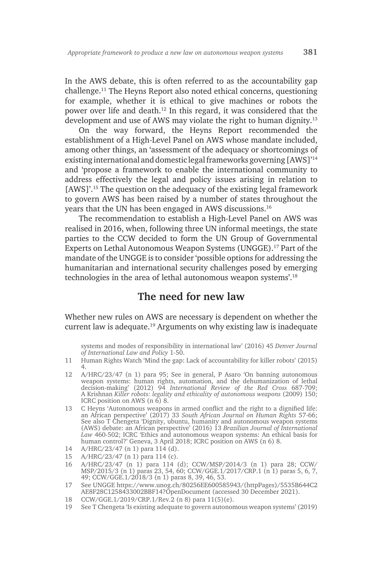In the AWS debate, this is often referred to as the accountability gap challenge.11 The Heyns Report also noted ethical concerns, questioning for example, whether it is ethical to give machines or robots the power over life and death.12 In this regard, it was considered that the development and use of AWS may violate the right to human dignity.<sup>13</sup>

On the way forward, the Heyns Report recommended the establishment of a High-Level Panel on AWS whose mandate included, among other things, an 'assessment of the adequacy or shortcomings of existing international and domestic legal frameworks governing [AWS]'14 and 'propose a framework to enable the international community to address effectively the legal and policy issues arising in relation to [AWS]'.15 The question on the adequacy of the existing legal framework to govern AWS has been raised by a number of states throughout the years that the UN has been engaged in AWS discussions.16

The recommendation to establish a High-Level Panel on AWS was realised in 2016, when, following three UN informal meetings, the state parties to the CCW decided to form the UN Group of Governmental Experts on Lethal Autonomous Weapon Systems (UNGGE).17 Part of the mandate of the UNGGE is to consider 'possible options for addressing the humanitarian and international security challenges posed by emerging technologies in the area of lethal autonomous weapon systems'.18

# **The need for new law**

Whether new rules on AWS are necessary is dependent on whether the current law is adequate.19 Arguments on why existing law is inadequate

systems and modes of responsibility in international law' (2016) 45 *Denver Journal of International Law and Policy* 1-50.

- 11 Human Rights Watch 'Mind the gap: Lack of accountability for killer robots' (2015) 4.
- 12 A/HRC/23/47 (n 1) para 95; See in general, P Asaro 'On banning autonomous weapon systems: human rights, automation, and the dehumanization of lethal decision-making' (2012) 94 *International Review of the Red Cross* 687-709; A Krishnan *Killer robots: legality and ethicality of autonomous weapons* (2009) 150; ICRC position on AWS  $(n 6)$  8.
- 13 C Heyns 'Autonomous weapons in armed conflict and the right to a dignified life: an African perspective' (2017) 33 *South African Journal on Human Rights* 57-66; See also T Chengeta 'Dignity, ubuntu, humanity and autonomous weapon systems (AWS) debate: an African perspective' (2016) 13 *Brazilian Journal of International Law* 460-502; ICRC 'Ethics and autonomous weapon systems: An ethical basis for human control?' Geneva, 3 April 2018; ICRC position on AWS (n 6) 8.
- 14 A/HRC/23/47 (n 1) para 114 (d).
- 15 A/HRC/23/47 (n 1) para 114 (c).
- 16 A/HRC/23/47 (n 1) para 114 (d); CCW/MSP/2014/3 (n 1) para 28; CCW/ MSP/2015/3 (n 1) paras 23, 54, 60; CCW/GGE.1/2017/CRP.1 (n 1) paras 5, 6, 7, 49; CCW/GGE.1/2018/3 (n 1) paras 8, 39, 46, 53.
- 17 See UNGGE https://www.unog.ch/80256EE600585943/(httpPages)/5535B644C2 AE8F28C1258433002BBF14?OpenDocument (accessed 30 December 2021).
- 18 CCW/GGE.1/2019/CRP.1/Rev.2 (n 8) para 11(5)(e).
- 19 See T Chengeta 'Is existing adequate to govern autonomous weapon systems' (2019)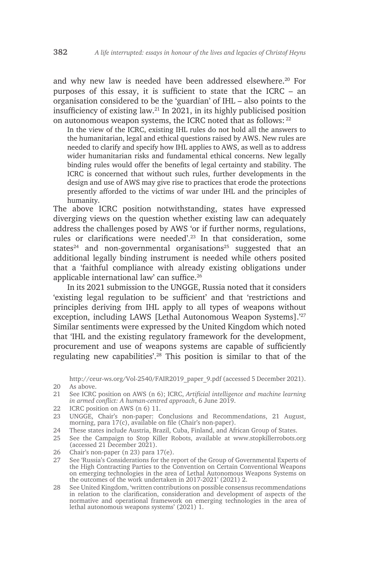and why new law is needed have been addressed elsewhere.<sup>20</sup> For purposes of this essay, it is sufficient to state that the ICRC – an organisation considered to be the 'guardian' of IHL – also points to the insufficiency of existing law.21 In 2021, in its highly publicised position on autonomous weapon systems, the ICRC noted that as follows: <sup>22</sup>

In the view of the ICRC, existing IHL rules do not hold all the answers to the humanitarian, legal and ethical questions raised by AWS. New rules are needed to clarify and specify how IHL applies to AWS, as well as to address wider humanitarian risks and fundamental ethical concerns. New legally binding rules would offer the benefits of legal certainty and stability. The ICRC is concerned that without such rules, further developments in the design and use of AWS may give rise to practices that erode the protections presently afforded to the victims of war under IHL and the principles of humanity.

The above ICRC position notwithstanding, states have expressed diverging views on the question whether existing law can adequately address the challenges posed by AWS 'or if further norms, regulations, rules or clarifications were needed'.<sup>23</sup> In that consideration, some states<sup>24</sup> and non-governmental organisations<sup>25</sup> suggested that an additional legally binding instrument is needed while others posited that a 'faithful compliance with already existing obligations under applicable international law' can suffice.<sup>26</sup>

In its 2021 submission to the UNGGE, Russia noted that it considers 'existing legal regulation to be sufficient' and that 'restrictions and principles deriving from IHL apply to all types of weapons without exception, including LAWS [Lethal Autonomous Weapon Systems].<sup>'27</sup> Similar sentiments were expressed by the United Kingdom which noted that 'IHL and the existing regulatory framework for the development, procurement and use of weapons systems are capable of sufficiently regulating new capabilities'.28 This position is similar to that of the

http://ceur-ws.org/Vol-2540/FAIR2019\_paper\_9.pdf (accessed 5 December 2021). 20 As above.

- 21 See ICRC position on AWS (n 6); ICRC, *Artificial intelligence and machine learning in armed conflict: A human-centred approach*, 6 June 2019.
- 22 ICRC position on AWS (n 6) 11.

23 UNGGE, Chair's non-paper: Conclusions and Recommendations, 21 August, morning, para 17(c), available on file (Chair's non-paper).

- 24 These states include Austria, Brazil, Cuba, Finland, and African Group of States.
- 25 See the Campaign to Stop Killer Robots, available at www.stopkillerrobots.org (accessed 21 December 2021).
- 26 Chair's non-paper (n 23) para 17(e).
- 27 See 'Russia's Considerations for the report of the Group of Governmental Experts of the High Contracting Parties to the Convention on Certain Conventional Weapons on emerging technologies in the area of Lethal Autonomous Weapons Systems on the outcomes of the work undertaken in 2017-2021' (2021) 2.
- 28 See United Kingdom, 'written contributions on possible consensus recommendations in relation to the clarification, consideration and development of aspects of the normative and operational framework on emerging technologies in the area of lethal autonomous weapons systems' (2021) 1.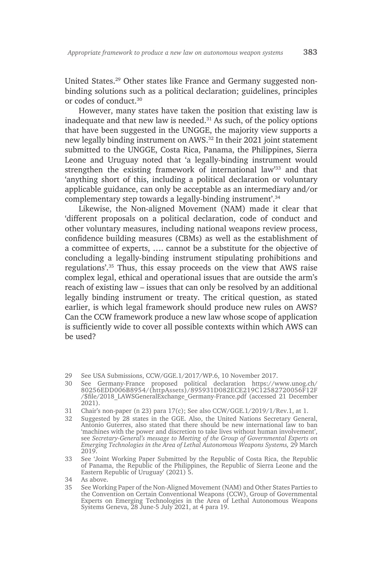United States.29 Other states like France and Germany suggested nonbinding solutions such as a political declaration; guidelines, principles or codes of conduct.30

However, many states have taken the position that existing law is inadequate and that new law is needed.31 As such, of the policy options that have been suggested in the UNGGE, the majority view supports a new legally binding instrument on AWS.32 In their 2021 joint statement submitted to the UNGGE, Costa Rica, Panama, the Philippines, Sierra Leone and Uruguay noted that 'a legally-binding instrument would strengthen the existing framework of international law'33 and that 'anything short of this, including a political declaration or voluntary applicable guidance, can only be acceptable as an intermediary and/or complementary step towards a legally-binding instrument'.34

Likewise, the Non-aligned Movement (NAM) made it clear that 'different proposals on a political declaration, code of conduct and other voluntary measures, including national weapons review process, confidence building measures (CBMs) as well as the establishment of a committee of experts, …. cannot be a substitute for the objective of concluding a legally-binding instrument stipulating prohibitions and regulations'.35 Thus, this essay proceeds on the view that AWS raise complex legal, ethical and operational issues that are outside the arm's reach of existing law – issues that can only be resolved by an additional legally binding instrument or treaty. The critical question, as stated earlier, is which legal framework should produce new rules on AWS? Can the CCW framework produce a new law whose scope of application is sufficiently wide to cover all possible contexts within which AWS can be used?

<sup>29</sup> See USA Submissions, CCW/GGE.1/2017/WP.6, 10 November 2017.

<sup>30</sup> See Germany-France proposed political declaration https://www.unog.ch/ 80256EDD006B8954/(httpAssets)/895931D082ECE219C12582720056F12F /\$file/2018\_LAWSGeneralExchange\_Germany-France.pdf (accessed 21 December 2021).

<sup>31</sup> Chair's non-paper (n 23) para 17(c); See also CCW/GGE.1/2019/1/Rev.1, at 1.

<sup>32</sup> Suggested by 28 states in the GGE. Also, the United Nations Secretary General, Antonio Guterres, also stated that there should be new international law to ban 'machines with the power and discretion to take lives without human involvement', see *Secretary-General's message to Meeting of the Group of Governmental Experts on Emerging Technologies in the Area of Lethal Autonomous Weapons Systems,* 29 March 2019.

<sup>33</sup> See 'Joint Working Paper Submitted by the Republic of Costa Rica, the Republic of Panama, the Republic of the Philippines, the Republic of Sierra Leone and the Eastern Republic of Uruguay' (2021) 5.

<sup>34</sup> As above.

<sup>35</sup> See Working Paper of the Non-Aligned Movement (NAM) and Other States Parties to the Convention on Certain Conventional Weapons (CCW), Group of Governmental Experts on Emerging Technologies in the Area of Lethal Autonomous Weapons Systems Geneva, 28 June-5 July 2021, at 4 para 19.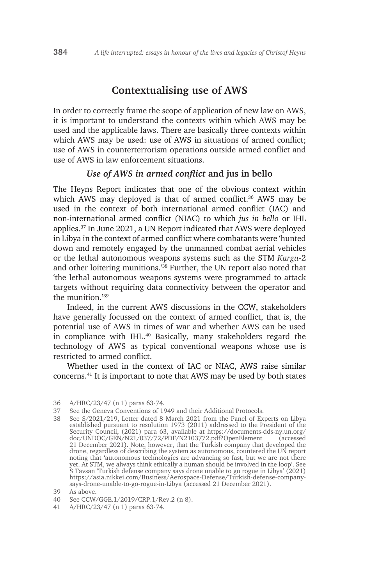### **Contextualising use of AWS**

In order to correctly frame the scope of application of new law on AWS, it is important to understand the contexts within which AWS may be used and the applicable laws. There are basically three contexts within which AWS may be used: use of AWS in situations of armed conflict; use of AWS in counterterrorism operations outside armed conflict and use of AWS in law enforcement situations.

#### *Use of AWS in armed conflict* **and jus in bello**

The Heyns Report indicates that one of the obvious context within which AWS may deployed is that of armed conflict.<sup>36</sup> AWS may be used in the context of both international armed conflict (IAC) and non-international armed conflict (NIAC) to which *jus in bello* or IHL applies.37 In June 2021, a UN Report indicated that AWS were deployed in Libya in the context of armed conflict where combatants were 'hunted down and remotely engaged by the unmanned combat aerial vehicles or the lethal autonomous weapons systems such as the STM *Kargu*-2 and other loitering munitions.'38 Further, the UN report also noted that 'the lethal autonomous weapons systems were programmed to attack targets without requiring data connectivity between the operator and the munition  $39$ 

Indeed, in the current AWS discussions in the CCW, stakeholders have generally focussed on the context of armed conflict, that is, the potential use of AWS in times of war and whether AWS can be used in compliance with IHL.40 Basically, many stakeholders regard the technology of AWS as typical conventional weapons whose use is restricted to armed conflict.

Whether used in the context of IAC or NIAC, AWS raise similar concerns.41 It is important to note that AWS may be used by both states

<sup>36</sup> A/HRC/23/47 (n 1) paras 63-74.

<sup>37</sup> See the Geneva Conventions of 1949 and their Additional Protocols.

<sup>38</sup> See S/2021/219, Letter dated 8 March 2021 from the Panel of Experts on Libya established pursuant to resolution 1973 (2011) addressed to the President of the Security Council, (2021) para 63, available at https://documents-dds-ny.un.org/ doc/UNDOC/GEN/N21/037/72/PDF/N2103772.pdf?OpenElement (accessed 21 December 2021). Note, however, that the Turkish company that developed the drone, regardless of describing the system as autonomous, countered the UN report noting that 'autonomous technologies are advancing so fast, but we are not there yet. At STM, we always think ethically a human should be involved in the loop'. See S Tavsan 'Turkish defense company says drone unable to go rogue in Libya' (2021) https://asia.nikkei.com/Business/Aerospace-Defense/Turkish-defense-companysays-drone-unable-to-go-rogue-in-Libya (accessed 21 December 2021).

<sup>39</sup> As above.

<sup>40</sup> See CCW/GGE.1/2019/CRP.1/Rev.2 (n 8).

<sup>41</sup> A/HRC/23/47 (n 1) paras 63-74.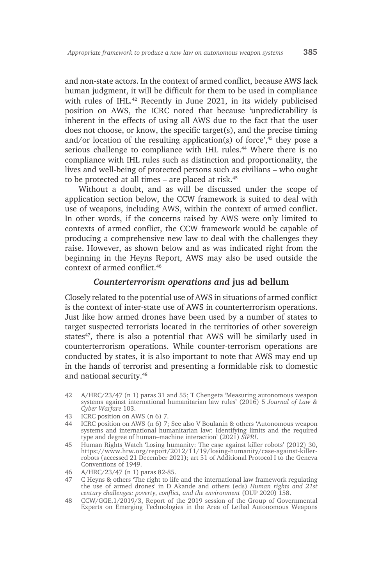and non-state actors. In the context of armed conflict, because AWS lack human judgment, it will be difficult for them to be used in compliance with rules of IHL.<sup>42</sup> Recently in June 2021, in its widely publicised position on AWS, the ICRC noted that because 'unpredictability is inherent in the effects of using all AWS due to the fact that the user does not choose, or know, the specific target(s), and the precise timing and/or location of the resulting application(s) of force', $43$  they pose a serious challenge to compliance with IHL rules.<sup>44</sup> Where there is no compliance with IHL rules such as distinction and proportionality, the lives and well-being of protected persons such as civilians – who ought to be protected at all times – are placed at risk.<sup>45</sup>

Without a doubt, and as will be discussed under the scope of application section below, the CCW framework is suited to deal with use of weapons, including AWS, within the context of armed conflict. In other words, if the concerns raised by AWS were only limited to contexts of armed conflict, the CCW framework would be capable of producing a comprehensive new law to deal with the challenges they raise. However, as shown below and as was indicated right from the beginning in the Heyns Report, AWS may also be used outside the context of armed conflict 46

#### *Counterterrorism operations and* **jus ad bellum**

Closely related to the potential use of AWS in situations of armed conflict is the context of inter-state use of AWS in counterterrorism operations. Just like how armed drones have been used by a number of states to target suspected terrorists located in the territories of other sovereign states<sup>47</sup>, there is also a potential that AWS will be similarly used in counterterrorism operations. While counter-terrorism operations are conducted by states, it is also important to note that AWS may end up in the hands of terrorist and presenting a formidable risk to domestic and national security.48

- 42 A/HRC/23/47 (n 1) paras 31 and 55; T Chengeta 'Measuring autonomous weapon systems against international humanitarian law rules' (2016) 5 *Journal of Law & Cyber Warfare* 103.
- 43 ICRC position on AWS (n 6) 7.
- 44 ICRC position on AWS (n 6) 7; See also V Boulanin & others 'Autonomous weapon systems and international humanitarian law: Identifying limits and the required type and degree of human–machine interaction' (2021) *SIPRI*.
- 45 Human Rights Watch 'Losing humanity: The case against killer robots' (2012) 30, https://www.hrw.org/report/2012/11/19/losing-humanity/case-against-killerrobots (accessed 21 December 2021); art 51 of Additional Protocol I to the Geneva Conventions of 1949.
- 46 A/HRC/23/47 (n 1) paras 82-85.
- 47 C Heyns & others 'The right to life and the international law framework regulating the use of armed drones' in D Akande and others (eds) *Human rights and 21st century challenges: poverty, conflict, and the environment* (OUP 2020) 158.
- 48 CCW/GGE.1/2019/3, Report of the 2019 session of the Group of Governmental Experts on Emerging Technologies in the Area of Lethal Autonomous Weapons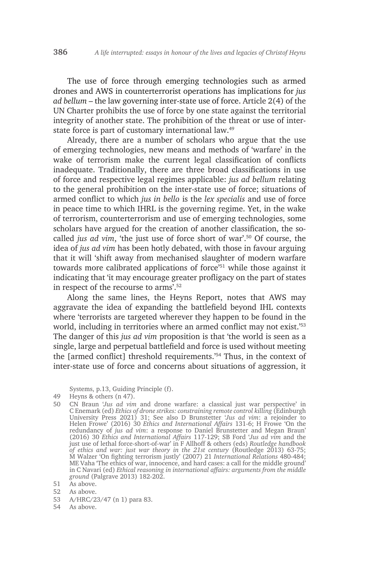The use of force through emerging technologies such as armed drones and AWS in counterterrorist operations has implications for *jus ad bellum* – the law governing inter-state use of force. Article 2(4) of the UN Charter prohibits the use of force by one state against the territorial integrity of another state. The prohibition of the threat or use of interstate force is part of customary international law.49

Already, there are a number of scholars who argue that the use of emerging technologies, new means and methods of 'warfare' in the wake of terrorism make the current legal classification of conflicts inadequate. Traditionally, there are three broad classifications in use of force and respective legal regimes applicable: *jus ad bellum* relating to the general prohibition on the inter-state use of force; situations of armed conflict to which *jus in bello* is the *lex specialis* and use of force in peace time to which IHRL is the governing regime. Yet, in the wake of terrorism, counterterrorism and use of emerging technologies, some scholars have argued for the creation of another classification, the socalled *jus ad vim*, 'the just use of force short of war'.50 Of course, the idea of *jus ad vim* has been hotly debated, with those in favour arguing that it will 'shift away from mechanised slaughter of modern warfare towards more calibrated applications of force<sup>'51</sup> while those against it indicating that 'it may encourage greater profligacy on the part of states in respect of the recourse to arms'.52

Along the same lines, the Heyns Report, notes that AWS may aggravate the idea of expanding the battlefield beyond IHL contexts where 'terrorists are targeted wherever they happen to be found in the world, including in territories where an armed conflict may not exist.<sup>'53</sup> The danger of this *jus ad vim* proposition is that 'the world is seen as a single, large and perpetual battlefield and force is used without meeting the [armed conflict] threshold requirements.'54 Thus, in the context of inter-state use of force and concerns about situations of aggression, it

Systems, p.13, Guiding Principle (f).

- 49 Heyns & others (n 47).
- 50 CN Braun '*Jus ad vim* and drone warfare: a classical just war perspective' in C Enemark (ed) *Ethics of drone strikes: constraining remote control killing* (Edinburgh University Press 2021) 31; See also D Brunstetter '*Jus ad vim*: a rejoinder to Helen Frowe' (2016) 30 *Ethics and International Affairs* 131-6; H Frowe 'On the redundancy of *jus ad vim*: a response to Daniel Brunstetter and Megan Braun' (2016) 30 *Ethics and International Affairs* 117-129; SB Ford '*Jus ad vim* and the just use of lethal force-short-of-war' in F Allhoff & others (eds) *Routledge handbook of ethics and war: just war theory in the 21st century* (Routledge 2013) 63-75; M Walzer 'On fighting terrorism justly' (2007) 21 *International Relations* 480-484; ME Vaha 'The ethics of war, innocence, and hard cases: a call for the middle ground' in C Navari (ed) *Ethical reasoning in international affairs: arguments from the middle ground* (Palgrave 2013) 182-202.

- 52 As above.
- 53 A/HRC/23/47 (n 1) para 83.
- 54 As above.

<sup>51</sup> As above.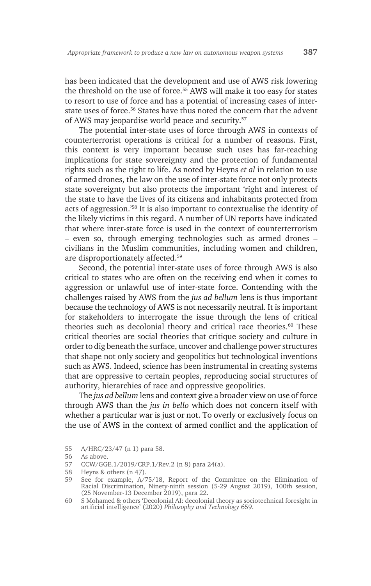has been indicated that the development and use of AWS risk lowering the threshold on the use of force.<sup>55</sup> AWS will make it too easy for states to resort to use of force and has a potential of increasing cases of interstate uses of force.56 States have thus noted the concern that the advent of AWS may jeopardise world peace and security.57

The potential inter-state uses of force through AWS in contexts of counterterrorist operations is critical for a number of reasons. First, this context is very important because such uses has far-reaching implications for state sovereignty and the protection of fundamental rights such as the right to life. As noted by Heyns *et al* in relation to use of armed drones, the law on the use of inter-state force not only protects state sovereignty but also protects the important 'right and interest of the state to have the lives of its citizens and inhabitants protected from acts of aggression.'58 It is also important to contextualise the identity of the likely victims in this regard. A number of UN reports have indicated that where inter-state force is used in the context of counterterrorism – even so, through emerging technologies such as armed drones – civilians in the Muslim communities, including women and children, are disproportionately affected.59

Second, the potential inter-state uses of force through AWS is also critical to states who are often on the receiving end when it comes to aggression or unlawful use of inter-state force. Contending with the challenges raised by AWS from the *jus ad bellum* lens is thus important because the technology of AWS is not necessarily neutral. It is important for stakeholders to interrogate the issue through the lens of critical theories such as decolonial theory and critical race theories.<sup>60</sup> These critical theories are social theories that critique society and culture in order to dig beneath the surface, uncover and challenge power structures that shape not only society and geopolitics but technological inventions such as AWS. Indeed, science has been instrumental in creating systems that are oppressive to certain peoples, reproducing social structures of authority, hierarchies of race and oppressive geopolitics.

The *jus ad bellum* lens and context give a broader view on use of force through AWS than the *jus in bello* which does not concern itself with whether a particular war is just or not. To overly or exclusively focus on the use of AWS in the context of armed conflict and the application of

<sup>55</sup> A/HRC/23/47 (n 1) para 58.

<sup>56</sup> As above.<br>57 CCW/GG

<sup>57</sup> CCW/GGE.1/2019/CRP.1/Rev.2 (n 8) para 24(a).

<sup>58</sup> Heyns & others (n 47).

<sup>59</sup> See for example, A/75/18, Report of the Committee on the Elimination of Racial Discrimination, Ninety-ninth session (5-29 August 2019), 100th session, (25 November-13 December 2019), para 22.

<sup>60</sup> S Mohamed & others 'Decolonial AI: decolonial theory as sociotechnical foresight in artificial intelligence' (2020) *Philosophy and Technology* 659.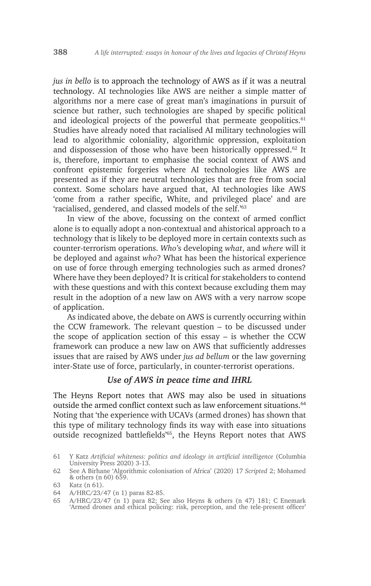*jus in bello* is to approach the technology of AWS as if it was a neutral technology. AI technologies like AWS are neither a simple matter of algorithms nor a mere case of great man's imaginations in pursuit of science but rather, such technologies are shaped by specific political and ideological projects of the powerful that permeate geopolitics.<sup>61</sup> Studies have already noted that racialised AI military technologies will lead to algorithmic coloniality, algorithmic oppression, exploitation and dispossession of those who have been historically oppressed.62 It is, therefore, important to emphasise the social context of AWS and confront epistemic forgeries where AI technologies like AWS are presented as if they are neutral technologies that are free from social context. Some scholars have argued that, AI technologies like AWS 'come from a rather specific, White, and privileged place' and are 'racialised, gendered, and classed models of the self.'<sup>63</sup>

In view of the above, focussing on the context of armed conflict alone is to equally adopt a non-contextual and ahistorical approach to a technology that is likely to be deployed more in certain contexts such as counter-terrorism operations. *Who'*s developing *what*, and *where* will it be deployed and against *who*? What has been the historical experience on use of force through emerging technologies such as armed drones? Where have they been deployed? It is critical for stakeholders to contend with these questions and with this context because excluding them may result in the adoption of a new law on AWS with a very narrow scope of application.

As indicated above, the debate on AWS is currently occurring within the CCW framework. The relevant question – to be discussed under the scope of application section of this essay – is whether the CCW framework can produce a new law on AWS that sufficiently addresses issues that are raised by AWS under *jus ad bellum* or the law governing inter-State use of force, particularly, in counter-terrorist operations.

### *Use of AWS in peace time and IHRL*

The Heyns Report notes that AWS may also be used in situations outside the armed conflict context such as law enforcement situations.<sup>64</sup> Noting that 'the experience with UCAVs (armed drones) has shown that this type of military technology finds its way with ease into situations outside recognized battlefields'65, the Heyns Report notes that AWS

<sup>61</sup> Y Katz *Artificial whiteness: politics and ideology in artificial intelligence* (Columbia University Press 2020) 3-13.

<sup>62</sup> See A Birhane 'Algorithmic colonisation of Africa' (2020) 17 *Scripted* 2; Mohamed & others (n 60) 659.

<sup>63</sup> Katz (n 61).

<sup>64</sup> A/HRC/23/47 (n 1) paras 82-85.

<sup>65</sup> A/HRC/23/47 (n 1) para 82; See also Heyns & others (n 47) 181; C Enemark 'Armed drones and ethical policing: risk, perception, and the tele-present officer'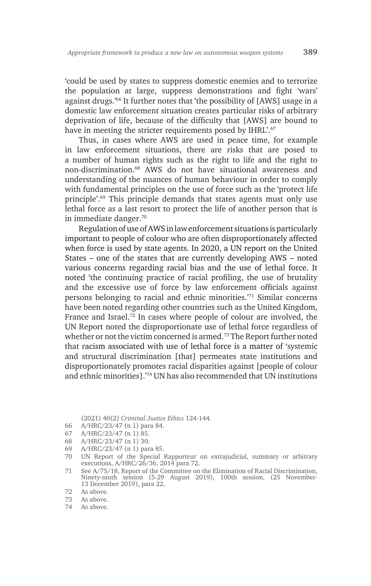'could be used by states to suppress domestic enemies and to terrorize the population at large, suppress demonstrations and fight 'wars' against drugs.'66 It further notes that 'the possibility of [AWS] usage in a domestic law enforcement situation creates particular risks of arbitrary deprivation of life, because of the difficulty that [AWS] are bound to have in meeting the stricter requirements posed by IHRL'.<sup>67</sup>

Thus, in cases where AWS are used in peace time, for example in law enforcement situations, there are risks that are posed to a number of human rights such as the right to life and the right to non-discrimination.68 AWS do not have situational awareness and understanding of the nuances of human behaviour in order to comply with fundamental principles on the use of force such as the 'protect life principle'.69 This principle demands that states agents must only use lethal force as a last resort to protect the life of another person that is in immediate danger.70

Regulation of use of AWS in law enforcement situations is particularly important to people of colour who are often disproportionately affected when force is used by state agents. In 2020, a UN report on the United States – one of the states that are currently developing AWS – noted various concerns regarding racial bias and the use of lethal force. It noted 'the continuing practice of racial profiling, the use of brutality and the excessive use of force by law enforcement officials against persons belonging to racial and ethnic minorities.'71 Similar concerns have been noted regarding other countries such as the United Kingdom, France and Israel.<sup>72</sup> In cases where people of colour are involved, the UN Report noted the disproportionate use of lethal force regardless of whether or not the victim concerned is armed.<sup>73</sup> The Report further noted that racism associated with use of lethal force is a matter of 'systemic and structural discrimination [that] permeates state institutions and disproportionately promotes racial disparities against [people of colour and ethnic minorities].'74 UN has also recommended that UN institutions

(2021) 40(2) *Criminal Justice Ethics* 124-144*.*

- 66 A/HRC/23/47 (n 1) para 84.
- 67 A/HRC/23/47 (n 1) 85.
- 68 A/HRC/23/47 (n 1) 30.
- 69 A/HRC/23/47 (n 1) para 85.
- 70 UN Report of the Special Rapporteur on extrajudicial, summary or arbitrary executions, A/HRC/26/36, 2014 para 72.
- 71 See A/75/18, Report of the Committee on the Elimination of Racial Discrimination, Ninety-ninth session (5-29 August 2019), 100th session, (25 November-13 December 2019), para 22.

- As above.
- 74 As above.

<sup>72</sup> As above.<br>73 As above.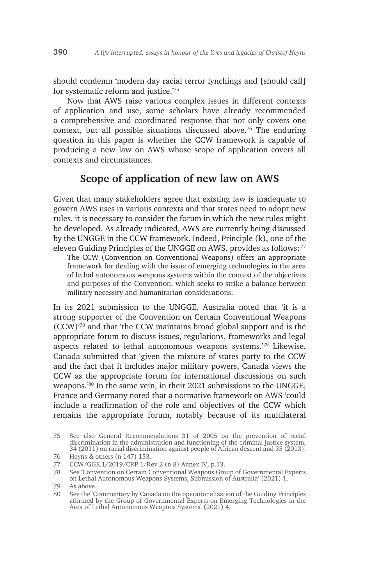should condemn 'modern day racial terror lynchings and [should call] for systematic reform and justice.'75

Now that AWS raise various complex issues in different contexts of application and use, some scholars have already recommended a comprehensive and coordinated response that not only covers one context, but all possible situations discussed above.76 The enduring question in this paper is whether the CCW framework is capable of producing a new law on AWS whose scope of application covers all contexts and circumstances.

# **Scope of application of new law on AWS**

Given that many stakeholders agree that existing law is inadequate to govern AWS uses in various contexts and that states need to adopt new rules, it is necessary to consider the forum in which the new rules might be developed. As already indicated, AWS are currently being discussed by the UNGGE in the CCW framework. Indeed, Principle (k), one of the eleven Guiding Principles of the UNGGE on AWS, provides as follows: <sup>77</sup>

The CCW (Convention on Conventional Weapons) offers an appropriate framework for dealing with the issue of emerging technologies in the area of lethal autonomous weapons systems within the context of the objectives and purposes of the Convention, which seeks to strike a balance between military necessity and humanitarian considerations.

In its 2021 submission to the UNGGE, Australia noted that 'it is a strong supporter of the Convention on Certain Conventional Weapons (CCW)'78 and that 'the CCW maintains broad global support and is the appropriate forum to discuss issues, regulations, frameworks and legal aspects related to lethal autonomous weapons systems.'79 Likewise, Canada submitted that 'given the mixture of states party to the CCW and the fact that it includes major military powers, Canada views the CCW as the appropriate forum for international discussions on such weapons.'80 In the same vein, in their 2021 submissions to the UNGGE, France and Germany noted that a normative framework on AWS 'could include a reaffirmation of the role and objectives of the CCW which remains the appropriate forum, notably because of its multilateral

<sup>75</sup> See also General Recommendations 31 of 2005 on the prevention of racial discrimination in the administration and functioning of the criminal justice system, 34 (2011) on racial discrimination against people of African descent and 35 (2013).

<sup>76</sup> Heyns & others (n 147) 153.

<sup>77</sup> CCW/GGE.1/2019/CRP.1/Rev.2 (n 8) Annex IV, p.13.

<sup>78</sup> See 'Convention on Certain Conventional Weapons Group of Governmental Experts on Lethal Autonomous Weapons Systems, Submission of Australia' (2021) 1.

<sup>79</sup> As above.

<sup>80</sup> See the 'Commentary by Canada on the operationalization of the Guiding Principles affirmed by the Group of Governmental Experts on Emerging Technologies in the Area of Lethal Autonomous Weapons Systems' (2021) 4.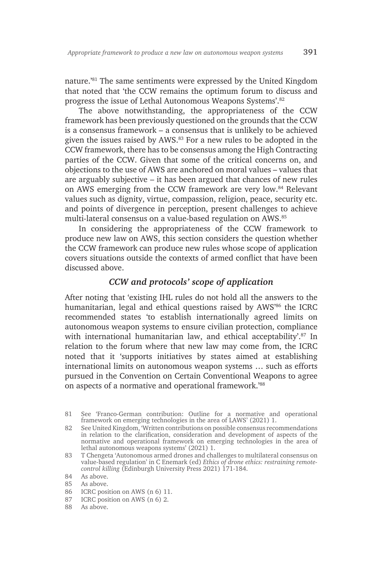nature.'81 The same sentiments were expressed by the United Kingdom that noted that 'the CCW remains the optimum forum to discuss and progress the issue of Lethal Autonomous Weapons Systems'.82

The above notwithstanding, the appropriateness of the CCW framework has been previously questioned on the grounds that the CCW is a consensus framework – a consensus that is unlikely to be achieved given the issues raised by AWS.83 For a new rules to be adopted in the CCW framework, there has to be consensus among the High Contracting parties of the CCW. Given that some of the critical concerns on, and objections to the use of AWS are anchored on moral values – values that are arguably subjective – it has been argued that chances of new rules on AWS emerging from the CCW framework are very low.84 Relevant values such as dignity, virtue, compassion, religion, peace, security etc. and points of divergence in perception, present challenges to achieve multi-lateral consensus on a value-based regulation on AWS.85

In considering the appropriateness of the CCW framework to produce new law on AWS, this section considers the question whether the CCW framework can produce new rules whose scope of application covers situations outside the contexts of armed conflict that have been discussed above.

### *CCW and protocols' scope of application*

After noting that 'existing IHL rules do not hold all the answers to the humanitarian, legal and ethical questions raised by AWS<sup>366</sup> the ICRC recommended states 'to establish internationally agreed limits on autonomous weapon systems to ensure civilian protection, compliance with international humanitarian law, and ethical acceptability'.<sup>87</sup> In relation to the forum where that new law may come from, the ICRC noted that it 'supports initiatives by states aimed at establishing international limits on autonomous weapon systems … such as efforts pursued in the Convention on Certain Conventional Weapons to agree on aspects of a normative and operational framework.'88

86 ICRC position on AWS (n 6) 11.

<sup>81</sup> See 'Franco-German contribution: Outline for a normative and operational framework on emerging technologies in the area of LAWS' (2021) 1.

<sup>82</sup> See United Kingdom, 'Written contributions on possible consensus recommendations in relation to the clarification, consideration and development of aspects of the normative and operational framework on emerging technologies in the area of lethal autonomous weapons systems' (2021) 1.

<sup>83</sup> T Chengeta 'Autonomous armed drones and challenges to multilateral consensus on value-based regulation' in C Enemark (ed) *Ethics of drone ethics: restraining remotecontrol killing* (Edinburgh University Press 2021) 171-184.

<sup>84</sup> As above.<br>85 As above

As above.

<sup>87</sup> ICRC position on AWS (n 6) 2.

<sup>88</sup> As above.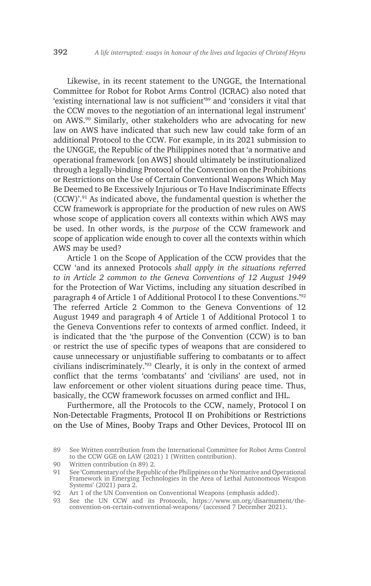Likewise, in its recent statement to the UNGGE, the International Committee for Robot for Robot Arms Control (ICRAC) also noted that 'existing international law is not sufficient'89 and 'considers it vital that the CCW moves to the negotiation of an international legal instrument' on AWS.90 Similarly, other stakeholders who are advocating for new law on AWS have indicated that such new law could take form of an additional Protocol to the CCW. For example, in its 2021 submission to the UNGGE, the Republic of the Philippines noted that 'a normative and operational framework [on AWS] should ultimately be institutionalized through a legally-binding Protocol of the Convention on the Prohibitions or Restrictions on the Use of Certain Conventional Weapons Which May Be Deemed to Be Excessively Injurious or To Have Indiscriminate Effects (CCW)'.91 As indicated above, the fundamental question is whether the CCW framework is appropriate for the production of new rules on AWS whose scope of application covers all contexts within which AWS may be used. In other words, is the *purpose* of the CCW framework and scope of application wide enough to cover all the contexts within which AWS may be used?

Article 1 on the Scope of Application of the CCW provides that the CCW 'and its annexed Protocols *shall apply in the situations referred to in Article 2 common to the Geneva Conventions of 12 August 1949*  for the Protection of War Victims, including any situation described in paragraph 4 of Article 1 of Additional Protocol I to these Conventions.'92 The referred Article 2 Common to the Geneva Conventions of 12 August 1949 and paragraph 4 of Article 1 of Additional Protocol 1 to the Geneva Conventions refer to contexts of armed conflict. Indeed, it is indicated that the 'the purpose of the Convention (CCW) is to ban or restrict the use of specific types of weapons that are considered to cause unnecessary or unjustifiable suffering to combatants or to affect civilians indiscriminately.'93 Clearly, it is only in the context of armed conflict that the terms 'combatants' and 'civilians' are used, not in law enforcement or other violent situations during peace time. Thus, basically, the CCW framework focusses on armed conflict and IHL.

Furthermore, all the Protocols to the CCW, namely, Protocol I on Non-Detectable Fragments, Protocol II on Prohibitions or Restrictions on the Use of Mines, Booby Traps and Other Devices, Protocol III on

<sup>89</sup> See Written contribution from the International Committee for Robot Arms Control to the CCW GGE on LAW (2021) 1 (Written contribution).

<sup>90</sup> Written contribution (n 89) 2.

<sup>91</sup> See 'Commentary of the Republic of the Philippines on the Normative and Operational Framework in Emerging Technologies in the Area of Lethal Autonomous Weapon Systems' (2021) para 2.

<sup>92</sup> Art 1 of the UN Convention on Conventional Weapons (emphasis added).

<sup>93</sup> See the UN CCW and its Protocols, https://www.un.org/disarmament/theconvention-on-certain-conventional-weapons/ (accessed 7 December 2021).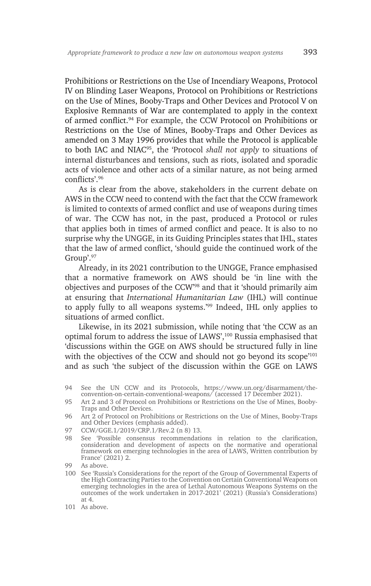Prohibitions or Restrictions on the Use of Incendiary Weapons, Protocol IV on Blinding Laser Weapons, Protocol on Prohibitions or Restrictions on the Use of Mines, Booby-Traps and Other Devices and Protocol V on Explosive Remnants of War are contemplated to apply in the context of armed conflict.<sup>94</sup> For example, the CCW Protocol on Prohibitions or Restrictions on the Use of Mines, Booby-Traps and Other Devices as amended on 3 May 1996 provides that while the Protocol is applicable to both IAC and NIAC95, the 'Protocol *shall not apply* to situations of internal disturbances and tensions, such as riots, isolated and sporadic acts of violence and other acts of a similar nature, as not being armed conflicts'.<sup>96</sup>

As is clear from the above, stakeholders in the current debate on AWS in the CCW need to contend with the fact that the CCW framework is limited to contexts of armed conflict and use of weapons during times of war. The CCW has not, in the past, produced a Protocol or rules that applies both in times of armed conflict and peace. It is also to no surprise why the UNGGE, in its Guiding Principles states that IHL, states that the law of armed conflict, 'should guide the continued work of the Group'.97

Already, in its 2021 contribution to the UNGGE, France emphasised that a normative framework on AWS should be 'in line with the objectives and purposes of the CCW'98 and that it 'should primarily aim at ensuring that *International Humanitarian Law* (IHL) will continue to apply fully to all weapons systems.'99 Indeed, IHL only applies to situations of armed conflict.

Likewise, in its 2021 submission, while noting that 'the CCW as an optimal forum to address the issue of LAWS',100 Russia emphasised that 'discussions within the GGE on AWS should be structured fully in line with the objectives of the CCW and should not go beyond its scope<sup>'101</sup> and as such 'the subject of the discussion within the GGE on LAWS

- 97 CCW/GGE.1/2019/CRP.1/Rev.2 (n 8) 13.
- 98 See 'Possible consensus recommendations in relation to the clarification, consideration and development of aspects on the normative and operational framework on emerging technologies in the area of LAWS, Written contribution by France' (2021) 2.

100 See 'Russia's Considerations for the report of the Group of Governmental Experts of the High Contracting Parties to the Convention on Certain Conventional Weapons on emerging technologies in the area of Lethal Autonomous Weapons Systems on the outcomes of the work undertaken in 2017-2021' (2021) (Russia's Considerations) at 4.

<sup>94</sup> See the UN CCW and its Protocols, https://www.un.org/disarmament/theconvention-on-certain-conventional-weapons/ (accessed 17 December 2021).

<sup>95</sup> Art 2 and 3 of Protocol on Prohibitions or Restrictions on the Use of Mines, Booby-Traps and Other Devices.

<sup>96</sup> Art 2 of Protocol on Prohibitions or Restrictions on the Use of Mines, Booby-Traps and Other Devices (emphasis added).

<sup>99</sup> As above.

<sup>101</sup> As above.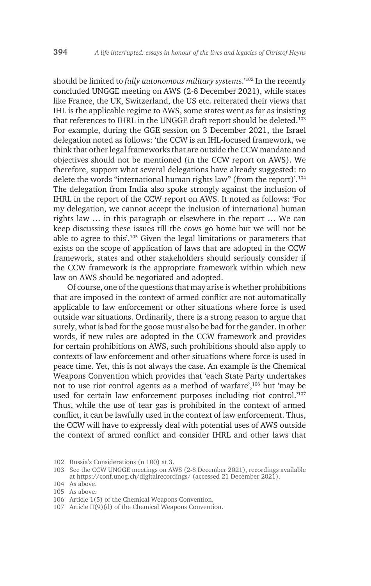should be limited to *fully autonomous military system*s.'102 In the recently concluded UNGGE meeting on AWS (2-8 December 2021), while states like France, the UK, Switzerland, the US etc. reiterated their views that IHL is the applicable regime to AWS, some states went as far as insisting that references to IHRL in the UNGGE draft report should be deleted.<sup>103</sup> For example, during the GGE session on 3 December 2021, the Israel delegation noted as follows: 'the CCW is an IHL-focused framework, we think that other legal frameworks that are outside the CCW mandate and objectives should not be mentioned (in the CCW report on AWS). We therefore, support what several delegations have already suggested: to delete the words "international human rights law" (from the report)'.<sup>104</sup> The delegation from India also spoke strongly against the inclusion of IHRL in the report of the CCW report on AWS. It noted as follows: 'For my delegation, we cannot accept the inclusion of international human rights law … in this paragraph or elsewhere in the report … We can keep discussing these issues till the cows go home but we will not be able to agree to this'.105 Given the legal limitations or parameters that exists on the scope of application of laws that are adopted in the CCW framework, states and other stakeholders should seriously consider if the CCW framework is the appropriate framework within which new law on AWS should be negotiated and adopted.

Of course, one of the questions that may arise is whether prohibitions that are imposed in the context of armed conflict are not automatically applicable to law enforcement or other situations where force is used outside war situations. Ordinarily, there is a strong reason to argue that surely, what is bad for the goose must also be bad for the gander. In other words, if new rules are adopted in the CCW framework and provides for certain prohibitions on AWS, such prohibitions should also apply to contexts of law enforcement and other situations where force is used in peace time. Yet, this is not always the case. An example is the Chemical Weapons Convention which provides that 'each State Party undertakes not to use riot control agents as a method of warfare',106 but 'may be used for certain law enforcement purposes including riot control.'107 Thus, while the use of tear gas is prohibited in the context of armed conflict, it can be lawfully used in the context of law enforcement. Thus, the CCW will have to expressly deal with potential uses of AWS outside the context of armed conflict and consider IHRL and other laws that

- 106 Article 1(5) of the Chemical Weapons Convention.
- 107 Article II(9)(d) of the Chemical Weapons Convention.

<sup>102</sup> Russia's Considerations (n 100) at 3.

<sup>103</sup> See the CCW UNGGE meetings on AWS (2-8 December 2021), recordings available at https://conf.unog.ch/digitalrecordings/ (accessed 21 December 2021).

<sup>104</sup> As above.

<sup>105</sup> As above.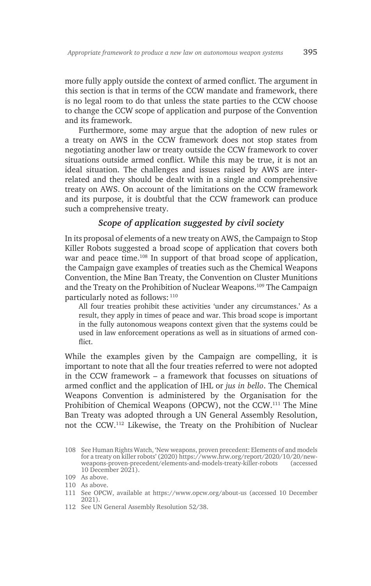more fully apply outside the context of armed conflict. The argument in this section is that in terms of the CCW mandate and framework, there is no legal room to do that unless the state parties to the CCW choose to change the CCW scope of application and purpose of the Convention and its framework.

Furthermore, some may argue that the adoption of new rules or a treaty on AWS in the CCW framework does not stop states from negotiating another law or treaty outside the CCW framework to cover situations outside armed conflict. While this may be true, it is not an ideal situation. The challenges and issues raised by AWS are interrelated and they should be dealt with in a single and comprehensive treaty on AWS. On account of the limitations on the CCW framework and its purpose, it is doubtful that the CCW framework can produce such a comprehensive treaty.

#### *Scope of application suggested by civil society*

In its proposal of elements of a new treaty on AWS, the Campaign to Stop Killer Robots suggested a broad scope of application that covers both war and peace time.<sup>108</sup> In support of that broad scope of application, the Campaign gave examples of treaties such as the Chemical Weapons Convention, the Mine Ban Treaty, the Convention on Cluster Munitions and the Treaty on the Prohibition of Nuclear Weapons.<sup>109</sup> The Campaign particularly noted as follows: <sup>110</sup>

All four treaties prohibit these activities 'under any circumstances.' As a result, they apply in times of peace and war. This broad scope is important in the fully autonomous weapons context given that the systems could be used in law enforcement operations as well as in situations of armed conflict.

While the examples given by the Campaign are compelling, it is important to note that all the four treaties referred to were not adopted in the CCW framework – a framework that focusses on situations of armed conflict and the application of IHL or *jus in bello*. The Chemical Weapons Convention is administered by the Organisation for the Prohibition of Chemical Weapons (OPCW), not the CCW.111 The Mine Ban Treaty was adopted through a UN General Assembly Resolution, not the CCW.112 Likewise, the Treaty on the Prohibition of Nuclear

112 See UN General Assembly Resolution 52/38.

<sup>108</sup> See Human Rights Watch, 'New weapons, proven precedent: Elements of and models for a treaty on killer robots' (2020) https://www.hrw.org/report/2020/10/20/newweapons-proven-precedent/elements-and-models-treaty-killer-robots 10 December 2021).

<sup>109</sup> As above.

<sup>110</sup> As above.

<sup>111</sup> See OPCW, available at https://www.opcw.org/about-us (accessed 10 December 2021).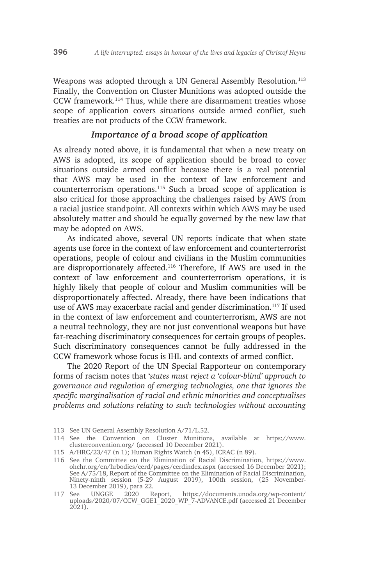Weapons was adopted through a UN General Assembly Resolution.<sup>113</sup> Finally, the Convention on Cluster Munitions was adopted outside the CCW framework.114 Thus, while there are disarmament treaties whose scope of application covers situations outside armed conflict, such treaties are not products of the CCW framework.

#### *Importance of a broad scope of application*

As already noted above, it is fundamental that when a new treaty on AWS is adopted, its scope of application should be broad to cover situations outside armed conflict because there is a real potential that AWS may be used in the context of law enforcement and counterterrorism operations.115 Such a broad scope of application is also critical for those approaching the challenges raised by AWS from a racial justice standpoint. All contexts within which AWS may be used absolutely matter and should be equally governed by the new law that may be adopted on AWS.

As indicated above, several UN reports indicate that when state agents use force in the context of law enforcement and counterterrorist operations, people of colour and civilians in the Muslim communities are disproportionately affected.<sup>116</sup> Therefore, If AWS are used in the context of law enforcement and counterterrorism operations, it is highly likely that people of colour and Muslim communities will be disproportionately affected. Already, there have been indications that use of AWS may exacerbate racial and gender discrimination.<sup>117</sup> If used in the context of law enforcement and counterterrorism, AWS are not a neutral technology, they are not just conventional weapons but have far-reaching discriminatory consequences for certain groups of peoples. Such discriminatory consequences cannot be fully addressed in the CCW framework whose focus is IHL and contexts of armed conflict.

The 2020 Report of the UN Special Rapporteur on contemporary forms of racism notes that '*states must reject a 'colour-blind' approach to governance and regulation of emerging technologies, one that ignores the specific marginalisation of racial and ethnic minorities and conceptualises problems and solutions relating to such technologies without accounting* 

113 See UN General Assembly Resolution A/71/L.52.

115 A/HRC/23/47 (n 1); Human Rights Watch (n 45), ICRAC (n 89).

116 See the Committee on the Elimination of Racial Discrimination, https://www. ohchr.org/en/hrbodies/cerd/pages/cerdindex.aspx (accessed 16 December 2021); See A/75/18, Report of the Committee on the Elimination of Racial Discrimination, Ninety-ninth session (5-29 August 2019), 100th session, (25 November-13 December 2019), para 22.

<sup>114</sup> See the Convention on Cluster Munitions, available at https://www. clusterconvention.org/ (accessed 10 December 2021).

<sup>117</sup> See UNGGE 2020 Report, https://documents.unoda.org/wp-content/ uploads/2020/07/CCW\_GGE1\_2020\_WP\_7-ADVANCE.pdf (accessed 21 December 2021).